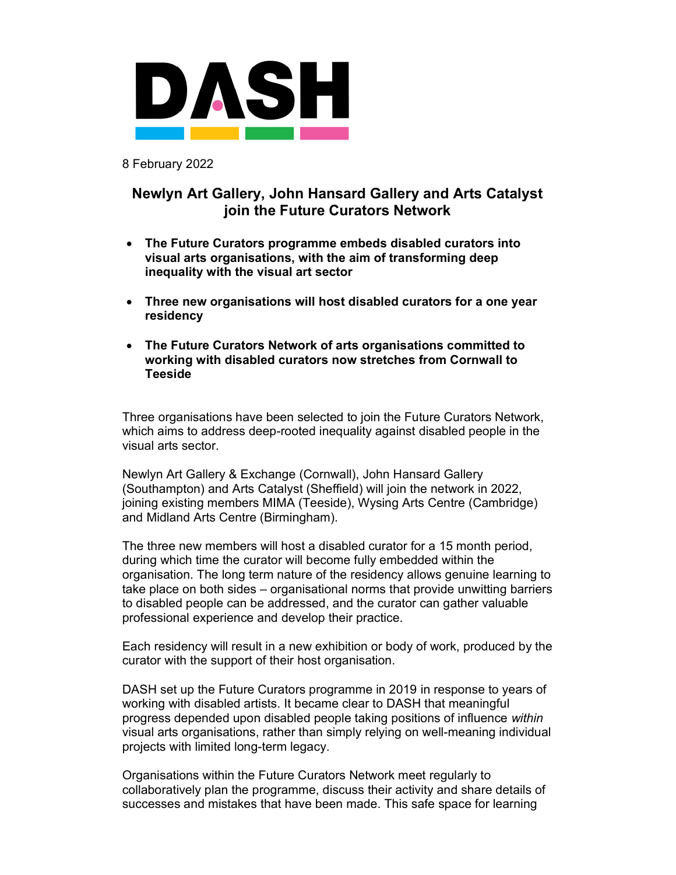

8 February 2022

## Newlyn Art Gallery, John Hansard Gallery and Arts Catalyst join the Future Curators Network

- The Future Curators programme embeds disabled curators into visual arts organisations, with the aim of transforming deep inequality with the visual art sector
- Three new organisations will host disabled curators for a one year residency
- The Future Curators Network of arts organisations committed to working with disabled curators now stretches from Cornwall to **Teeside**

Three organisations have been selected to join the Future Curators Network, which aims to address deep-rooted inequality against disabled people in the visual arts sector.

Newlyn Art Gallery & Exchange (Cornwall), John Hansard Gallery (Southampton) and Arts Catalyst (Sheffield) will join the network in 2022, joining existing members MIMA (Teeside), Wysing Arts Centre (Cambridge) and Midland Arts Centre (Birmingham).

The three new members will host a disabled curator for a 15 month period, during which time the curator will become fully embedded within the organisation. The long term nature of the residency allows genuine learning to take place on both sides – organisational norms that provide unwitting barriers to disabled people can be addressed, and the curator can gather valuable professional experience and develop their practice.

Each residency will result in a new exhibition or body of work, produced by the curator with the support of their host organisation.

DASH set up the Future Curators programme in 2019 in response to years of working with disabled artists. It became clear to DASH that meaningful progress depended upon disabled people taking positions of influence within visual arts organisations, rather than simply relying on well-meaning individual projects with limited long-term legacy.

Organisations within the Future Curators Network meet regularly to collaboratively plan the programme, discuss their activity and share details of successes and mistakes that have been made. This safe space for learning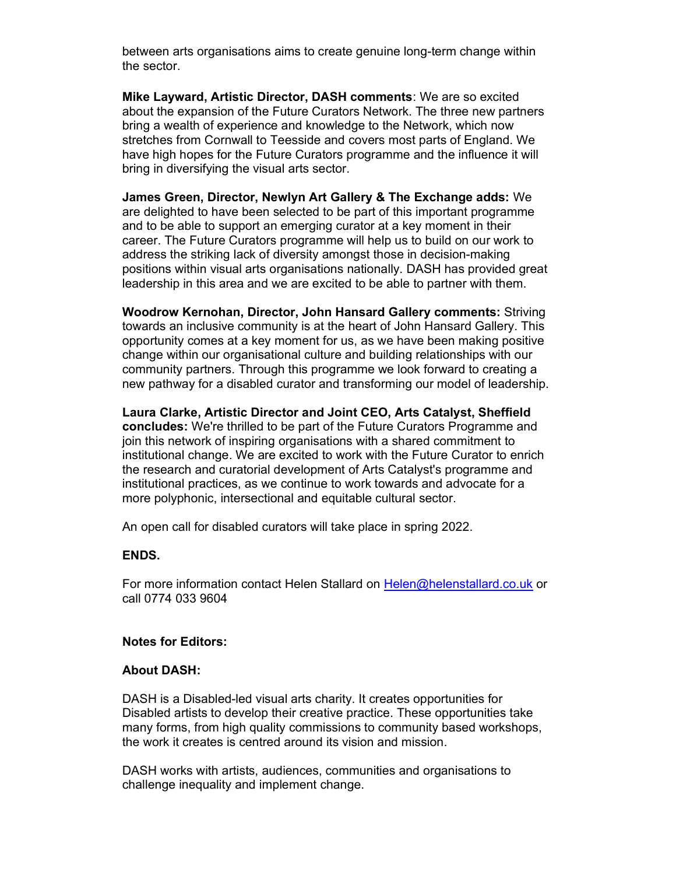between arts organisations aims to create genuine long-term change within the sector.

Mike Layward, Artistic Director, DASH comments: We are so excited about the expansion of the Future Curators Network. The three new partners bring a wealth of experience and knowledge to the Network, which now stretches from Cornwall to Teesside and covers most parts of England. We have high hopes for the Future Curators programme and the influence it will bring in diversifying the visual arts sector.

James Green, Director, Newlyn Art Gallery & The Exchange adds: We are delighted to have been selected to be part of this important programme and to be able to support an emerging curator at a key moment in their career. The Future Curators programme will help us to build on our work to address the striking lack of diversity amongst those in decision-making positions within visual arts organisations nationally. DASH has provided great leadership in this area and we are excited to be able to partner with them.

Woodrow Kernohan, Director, John Hansard Gallery comments: Striving towards an inclusive community is at the heart of John Hansard Gallery. This opportunity comes at a key moment for us, as we have been making positive change within our organisational culture and building relationships with our community partners. Through this programme we look forward to creating a new pathway for a disabled curator and transforming our model of leadership.

Laura Clarke, Artistic Director and Joint CEO, Arts Catalyst, Sheffield concludes: We're thrilled to be part of the Future Curators Programme and join this network of inspiring organisations with a shared commitment to institutional change. We are excited to work with the Future Curator to enrich the research and curatorial development of Arts Catalyst's programme and institutional practices, as we continue to work towards and advocate for a more polyphonic, intersectional and equitable cultural sector.

An open call for disabled curators will take place in spring 2022.

## ENDS.

For more information contact Helen Stallard on Helen@helenstallard.co.uk or call 0774 033 9604

## Notes for Editors:

## About DASH:

DASH is a Disabled-led visual arts charity. It creates opportunities for Disabled artists to develop their creative practice. These opportunities take many forms, from high quality commissions to community based workshops, the work it creates is centred around its vision and mission.

DASH works with artists, audiences, communities and organisations to challenge inequality and implement change.